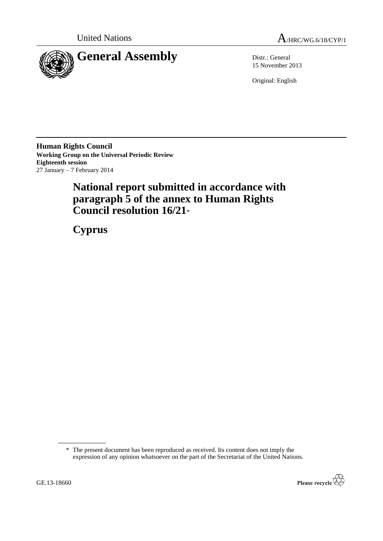



15 November 2013

Original: English

**Human Rights Council Working Group on the Universal Periodic Review Eighteenth session** 27 January – 7 February 2014

# **National report submitted in accordance with paragraph 5 of the annex to Human Rights Council resolution 16/21**\*

**Cyprus**

<sup>\*</sup> The present document has been reproduced as received. Its content does not imply the expression of any opinion whatsoever on the part of the Secretariat of the United Nations.

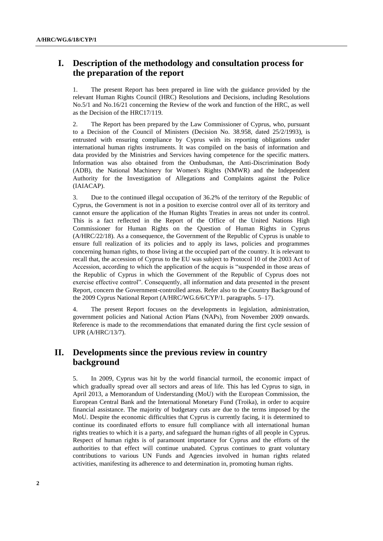## **I. Description of the methodology and consultation process for the preparation of the report**

1. The present Report has been prepared in line with the guidance provided by the relevant Human Rights Council (HRC) Resolutions and Decisions, including Resolutions No.5/1 and No.16/21 concerning the Review of the work and function of the HRC, as well as the Decision of the HRC17/119.

2. The Report has been prepared by the Law Commissioner of Cyprus, who, pursuant to a Decision of the Council of Ministers (Decision No. 38.958, dated 25/2/1993), is entrusted with ensuring compliance by Cyprus with its reporting obligations under international human rights instruments. It was compiled on the basis of information and data provided by the Ministries and Services having competence for the specific matters. Information was also obtained from the Ombudsman, the Anti-Discrimination Body (ADB), the National Machinery for Women's Rights (NMWR) and the Independent Authority for the Investigation of Allegations and Complaints against the Police (IAIACAP).

3. Due to the continued illegal occupation of 36.2% of the territory of the Republic of Cyprus, the Government is not in a position to exercise control over all of its territory and cannot ensure the application of the Human Rights Treaties in areas not under its control. This is a fact reflected in the Report of the Office of the United Nations High Commissioner for Human Rights on the Question of Human Rights in Cyprus (A/HRC/22/18). As a consequence, the Government of the Republic of Cyprus is unable to ensure full realization of its policies and to apply its laws, policies and programmes concerning human rights, to those living at the occupied part of the country. It is relevant to recall that, the accession of Cyprus to the EU was subject to Protocol 10 of the 2003 Act of Accession, according to which the application of the acquis is "suspended in those areas of the Republic of Cyprus in which the Government of the Republic of Cyprus does not exercise effective control". Consequently, all information and data presented in the present Report, concern the Government-controlled areas. Refer also to the Country Background of the 2009 Cyprus National Report (A/HRC/WG.6/6/CYP/1. paragraphs. 5–17).

4. The present Report focuses on the developments in legislation, administration, government policies and National Action Plans (NAPs), from November 2009 onwards. Reference is made to the recommendations that emanated during the first cycle session of UPR (A/HRC/13/7).

## **II. Developments since the previous review in country background**

5. In 2009, Cyprus was hit by the world financial turmoil, the economic impact of which gradually spread over all sectors and areas of life. This has led Cyprus to sign, in April 2013, a Memorandum of Understanding (MoU) with the European Commission, the European Central Bank and the International Monetary Fund (Troika), in order to acquire financial assistance. The majority of budgetary cuts are due to the terms imposed by the MoU. Despite the economic difficulties that Cyprus is currently facing, it is determined to continue its coordinated efforts to ensure full compliance with all international human rights treaties to which it is a party, and safeguard the human rights of all people in Cyprus. Respect of human rights is of paramount importance for Cyprus and the efforts of the authorities to that effect will continue unabated. Cyprus continues to grant voluntary contributions to various UN Funds and Agencies involved in human rights related activities, manifesting its adherence to and determination in, promoting human rights.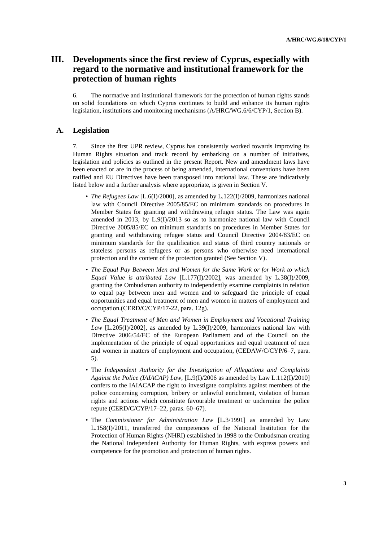## **III. Developments since the first review of Cyprus, especially with regard to the normative and institutional framework for the protection of human rights**

6. The normative and institutional framework for the protection of human rights stands on solid foundations on which Cyprus continues to build and enhance its human rights legislation, institutions and monitoring mechanisms (A/HRC/WG.6/6/CYP/1, Section B).

### **A. Legislation**

7. Since the first UPR review, Cyprus has consistently worked towards improving its Human Rights situation and track record by embarking on a number of initiatives, legislation and policies as outlined in the present Report. New and amendment laws have been enacted or are in the process of being amended, international conventions have been ratified and EU Directives have been transposed into national law. These are indicatively listed below and a further analysis where appropriate, is given in Section V.

- *The Refugees Law* [L.6(I)/2000], as amended by L.122(I)/2009, harmonizes national law with Council Directive 2005/85/EC on minimum standards on procedures in Member States for granting and withdrawing refugee status. The Law was again amended in 2013, by L.9(I)/2013 so as to harmonize national law with Council Directive 2005/85/EC on minimum standards on procedures in Member States for granting and withdrawing refugee status and Council Directive 2004/83/EC on minimum standards for the qualification and status of third country nationals or stateless persons as refugees or as persons who otherwise need international protection and the content of the protection granted (See Section V).
- *The Equal Pay Between Men and Women for the Same Work or for Work to which Equal Value is attributed Law* [L.177(I)/2002], was amended by L.38(I)/2009, granting the Ombudsman authority to independently examine complaints in relation to equal pay between men and women and to safeguard the principle of equal opportunities and equal treatment of men and women in matters of employment and occupation.(CERD/C/CYP/17-22, para. 12g).
- *The Equal Treatment of Men and Women in Employment and Vocational Training Law* [L.205(I)/2002]*,* as amended by L.39(I)/2009, harmonizes national law with Directive 2006/54/EC of the European Parliament and of the Council on the implementation of the principle of equal opportunities and equal treatment of men and women in matters of employment and occupation, (CEDAW/C/CYP/6–7, para. 5).
- The *Independent Authority for the Investigation of Allegations and Complaints Against the Police (IAIACAP) Law,* [L.9(I)/2006 as amended by Law L.112(I)/2010] confers to the IAIACAP the right to investigate complaints against members of the police concerning corruption, bribery or unlawful enrichment, violation of human rights and actions which constitute favourable treatment or undermine the police repute (CERD/C/CYP/17–22, paras. 60–67).
- The *Commissioner for Administration Law* [L.3/1991] as amended by Law L.158(I)/2011, transferred the competences of the National Institution for the Protection of Human Rights (NHRI) established in 1998 to the Ombudsman creating the National Independent Authority for Human Rights, with express powers and competence for the promotion and protection of human rights.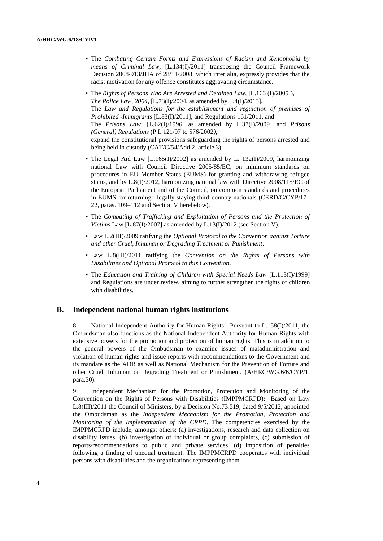- The *Combating Certain Forms and Expressions of Racism and Xenophobia by means of Criminal Law,* [L.134(I)/2011] transposing the Council Framework Decision 2008/913/JHA of 28/11/2008, which inter alia, expressly provides that the racist motivation for any offence constitutes aggravating circumstance.
- The *Rights of Persons Who Are Arrested and Detained Law,* [L.163 (I)/2005]), *The Police Law, 2004,* [L.73(I)/2004, as amended by L.4(I)/2013], The *Law and Regulations for the establishment and regulation of premises of Prohibited -Immigrants* [L.83(I)/2011], and Regulations 161/2011, and The *Prisons Law,* [L.62(I)/1996, as amended by L.37(I)/2009] and *Prisons (General) Regulations* (P.I. 121/97 to 576/2002*),* expand the constitutional provisions safeguarding the rights of persons arrested and being held in custody (CAT/C/54/Add.2, article 3).
- The Legal Aid Law [L.165(I)/2002] as amended by L. 132(I)/2009, harmonizing national Law with Council Directive 2005/85/EC, on minimum standards on procedures in EU Member States (EUMS) for granting and withdrawing refugee status, and by L.8(I)/2012, harmonizing national law with Directive 2008/115/EC of the European Parliament and of the Council, on common standards and procedures in EUMS for returning illegally staying third-country nationals (CERD/C/CYP/17– 22, paras. 109–112 and Section V herebelow).
- The *Combating of Trafficking and Exploitation of Persons and the Protection of Victims* Law [L.87(I)/2007] as amended by L.13(I)/2012.(see Section V).
- Law L.2(III)/2009 ratifying the *Optional Protocol to the Convention against Torture and other Cruel, Inhuman or Degrading Treatment or Punishment*.
- Law L.8(III)/2011 ratifying the *Convention on the Rights of Persons with Disabilities and Optional Protocol to this Convention*.
- The *[Education and Training of Children with Special Needs Law](http://www.moec.gov.cy/eidiki/nomothesia/Number_113(I)_1999.pdf)* [L.113(I)/1999] [and Regulations are under review,](http://www.moec.gov.cy/eidiki/nomothesia/Number_113(I)_1999.pdf) aiming to further strengthen the rights of children with disabilities.

### **B. Independent national human rights institutions**

8. National Independent Authority for Human Rights: Pursuant to L.158(I)/2011, the Ombudsman also functions as the National Independent Authority for Human Rights with extensive powers for the promotion and protection of human rights. This is in addition to the general powers of the Ombudsman to examine issues of maladministration and violation of human rights and issue reports with recommendations to the Government and its mandate as the ADB as well as National Mechanism for the Prevention of Torture and other Cruel, Inhuman or Degrading Treatment or Punishment. (A/HRC/WG.6/6/CYP/1, para.30).

9. Independent Mechanism for the Promotion, Protection and Monitoring of the Convention on the Rights of Persons with Disabilities (IMPPMCRPD): Based on Law L.8(III)/2011 the Council of Ministers, by a Decision No.73.519, dated 9/5/2012, appointed the Ombudsman as the *Independent Mechanism for the Promotion, Protection and Monitoring of the Implementation of the CRPD.* The competencies exercised by the IMPPMCRPD include, amongst others: (a) investigations, research and data collection on disability issues, (b) investigation of individual or group complaints, (c) submission of reports/recommendations to public and private services, (d) imposition of penalties following a finding of unequal treatment. The IMPPMCRPD cooperates with individual persons with disabilities and the organizations representing them.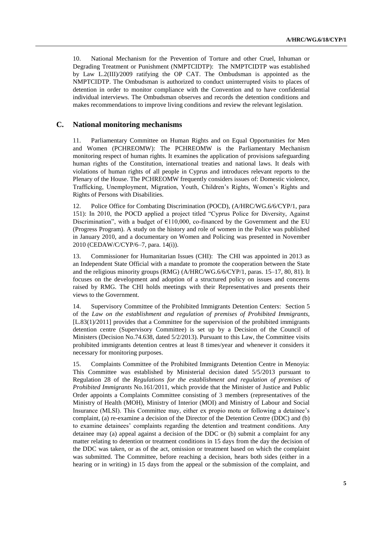10. National Mechanism for the Prevention of Torture and other Cruel, Inhuman or Degrading Treatment or Punishment (NMPTCIDTP): The NMPTCIDTP was established by Law L.2(III)/2009 ratifying the OP CAT. The Ombudsman is appointed as the NMPTCIDTP. The Ombudsman is authorized to conduct uninterrupted visits to places of detention in order to monitor compliance with the Convention and to have confidential individual interviews. The Ombudsman observes and records the detention conditions and makes recommendations to improve living conditions and review the relevant legislation.

### **C. National monitoring mechanisms**

11. Parliamentary Committee on Human Rights and on Equal Opportunities for Men and Women (PCHREOMW): The PCHREOMW is the Parliamentary Mechanism monitoring respect of human rights. It examines the application of provisions safeguarding human rights of the Constitution, international treaties and national laws. It deals with violations of human rights of all people in Cyprus and introduces relevant reports to the Plenary of the House. The PCHREOMW frequently considers issues of: Domestic violence, Trafficking, Unemployment, Migration, Youth, Children's Rights, Women's Rights and Rights of Persons with Disabilities.

12. Police Office for Combating Discrimination (POCD), (A/HRC/WG.6/6/CYP/1, para 151): In 2010, the POCD applied a project titled "Cyprus Police for Diversity, Against Discrimination", with a budget of  $\epsilon$ 110,000, co-financed by the Government and the EU (Progress Program). A study on the history and role of women in the Police was published in January 2010, and a documentary on Women and Policing was presented in November 2010 (CEDAW/C/CYP/6–7, para. 14(i)).

13. Commissioner for Humanitarian Issues (CHI): The CHI was appointed in 2013 as an Independent State Official with a mandate to promote the cooperation between the State and the religious minority groups (RMG) (A/HRC/WG.6/6/CYP/1, paras. 15–17, 80, 81). It focuses on the development and adoption of a structured policy on issues and concerns raised by RMG. The CHI holds meetings with their Representatives and presents their views to the Government.

14. Supervisory Committee of the Prohibited Immigrants Detention Centers: Section 5 of the *Law on the establishment and regulation of premises of Prohibited Immigrants,*  [L.83(1)/2011] provides that a Committee for the supervision of the prohibited immigrants detention centre (Supervisory Committee) is set up by a Decision of the Council of Ministers (Decision No.74.638, dated 5/2/2013). Pursuant to this Law, the Committee visits prohibited immigrants detention centres at least 8 times/year and whenever it considers it necessary for monitoring purposes.

15. Complaints Committee of the Prohibited Immigrants Detention Centre in Menoyia: This Committee was established by Ministerial decision dated 5/5/2013 pursuant to Regulation 28 of the *Regulations for the establishment and regulation of premises of Prohibited Immigrants* No.161/2011, which provide that the Minister of Justice and Public Order appoints a Complaints Committee consisting of 3 members (representatives of the Ministry of Health (MOH), Ministry of Interior (MOI) and Ministry of Labour and Social Insurance (MLSI). This Committee may, either ex propio motu or following a detainee's complaint, (a) re-examine a decision of the Director of the Detention Centre (DDC) and (b) to examine detainees' complaints regarding the detention and treatment conditions. Any detainee may (a) appeal against a decision of the DDC or (b) submit a complaint for any matter relating to detention or treatment conditions in 15 days from the day the decision of the DDC was taken, or as of the act, omission or treatment based on which the complaint was submitted. The Committee, before reaching a decision, hears both sides (either in a hearing or in writing) in 15 days from the appeal or the submission of the complaint, and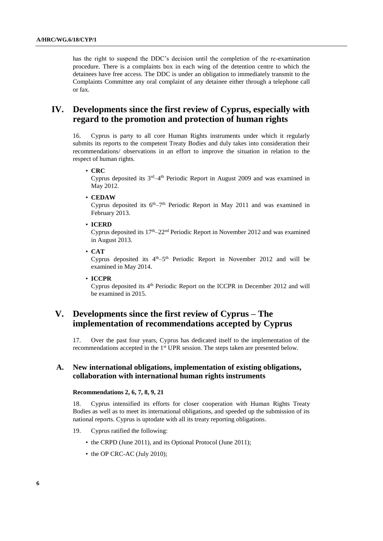has the right to suspend the DDC's decision until the completion of the re-examination procedure. There is a complaints box in each wing of the detention centre to which the detainees have free access. The DDC is under an obligation to immediately transmit to the Complaints Committee any oral complaint of any detainee either through a telephone call or fax.

## **IV. Developments since the first review of Cyprus, especially with regard to the promotion and protection of human rights**

16. Cyprus is party to all core Human Rights instruments under which it regularly submits its reports to the competent Treaty Bodies and duly takes into consideration their recommendations/ observations in an effort to improve the situation in relation to the respect of human rights.

### • **CRC**

Cyprus deposited its  $3<sup>rd</sup>-4<sup>th</sup>$  Periodic Report in August 2009 and was examined in May 2012.

• **CEDAW**

Cyprus deposited its  $6<sup>th</sup> - 7<sup>th</sup>$  Periodic Report in May 2011 and was examined in February 2013.

• **ICERD**

Cyprus deposited its  $17<sup>th</sup>-22<sup>nd</sup>$  Periodic Report in November 2012 and was examined in August 2013.

• **CAT**

Cyprus deposited its  $4<sup>th</sup>-5<sup>th</sup>$  Periodic Report in November 2012 and will be examined in May 2014.

• **ICCPR**

Cyprus deposited its  $4<sup>th</sup>$  Periodic Report on the ICCPR in December 2012 and will be examined in 2015.

## **V. Developments since the first review of Cyprus – The implementation of recommendations accepted by Cyprus**

17. Over the past four years, Cyprus has dedicated itself to the implementation of the recommendations accepted in the 1<sup>st</sup> UPR session. The steps taken are presented below.

### **A. New international obligations, implementation of existing obligations, collaboration with international human rights instruments**

### **Recommendations 2, 6, 7, 8, 9, 21**

18. Cyprus intensified its efforts for closer cooperation with Human Rights Treaty Bodies as well as to meet its international obligations, and speeded up the submission of its national reports. Cyprus is uptodate with all its treaty reporting obligations.

- 19. Cyprus ratified the following:
	- the CRPD (June 2011), and its Optional Protocol (June 2011);
	- the OP CRC-AC (July 2010);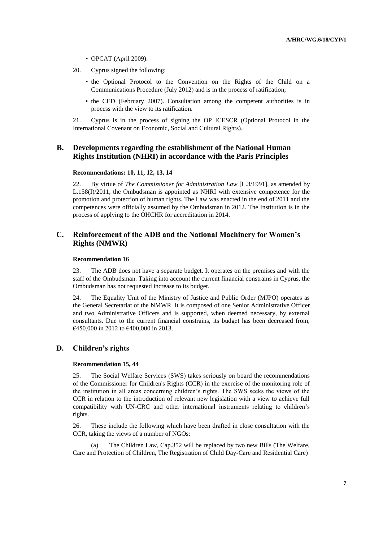- OPCAT (Αpril 2009).
- 20. Cyprus signed the following:
	- the Optional Protocol to the Convention on the Rights of the Child on a Communications Procedure (July 2012) and is in the process of ratification;
	- the CED (February 2007). Consultation among the competent authorities is in process with the view to its ratification.

21. Cyprus is in the process of signing the OP ICESCR (Optional Protocol in the International Covenant on Economic, Social and Cultural Rights).

### **B. Developments regarding the establishment of the National Human Rights Institution (NHRI) in accordance with the Paris Principles**

### **Recommendations: 10, 11, 12, 13, 14**

22. By virtue of *The Commissioner for Administration Law* [L.3/1991]*,* as amended by L.158(I)/2011, the Ombudsman is appointed as NHRI with extensive competence for the promotion and protection of human rights. The Law was enacted in the end of 2011 and the competences were officially assumed by the Ombudsman in 2012. The Institution is in the process of applying to the OHCHR for accreditation in 2014.

### **C. Reinforcement of the ADB and the National Machinery for Women's Rights (NMWR)**

#### **Recommendation 16**

23. The ADB does not have a separate budget. It operates on the premises and with the staff of the Ombudsman. Taking into account the current financial constrains in Cyprus, the Ombudsman has not requested increase to its budget.

24. The Equality Unit of the Ministry of Justice and Public Order (MJPO) operates as the General Secretariat of the NMWR. It is composed of one Senior Administrative Officer and two Administrative Officers and is supported, when deemed necessary, by external consultants. Due to the current financial constrains, its budget has been decreased from, €450,000 in 2012 to €400,000 in 2013.

### **D. Children's rights**

### **Recommendation 15, 44**

25. The Social Welfare Services (SWS) takes seriously on board the recommendations of the Commissioner for Children's Rights (CCR) in the exercise of the monitoring role of the institution in all areas concerning children's rights. The SWS seeks the views of the CCR in relation to the introduction of relevant new legislation with a view to achieve full compatibility with UN-CRC and other international instruments relating to children's rights.

26. These include the following which have been drafted in close consultation with the CCR, taking the views of a number of NGOs:

The Children Law, Cap.352 will be replaced by two new Bills (The Welfare, Care and Protection of Children, The Registration of Child Day-Care and Residential Care)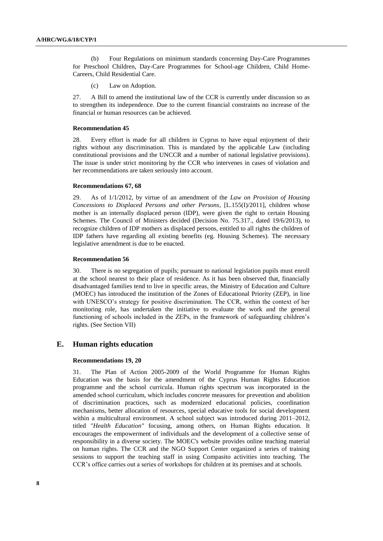(b) Four Regulations on minimum standards concerning Day-Care Programmes for Preschool Children, Day-Care Programmes for School-age Children, Child Home-Careers, Child Residential Care.

(c) Law on Adoption.

27. A Bill to amend the institutional law of the CCR is currently under discussion so as to strengthen its independence. Due to the current financial constraints no increase of the financial or human resources can be achieved.

### **Recommendation 45**

28. Every effort is made for all children in Cyprus to have equal enjoyment of their rights without any discrimination. This is mandated by the applicable Law (including constitutional provisions and the UNCCR and a number of national legislative provisions). The issue is under strict monitoring by the CCR who intervenes in cases of violation and her recommendations are taken seriously into account.

### **Recommendations 67, 68**

29. As of 1/1/2012, by virtue of an amendment of the *Law on Provision of Housing Concessions to Displaced Persons and other Persons*, [L.155(I)/2011], children whose mother is an internally displaced person (IDP), were given the right to certain Housing Schemes. The Council of Ministers decided (Decision No. 75.317., dated 19/6/2013), to recognize children of IDP mothers as displaced persons, entitled to all rights the children of IDP fathers have regarding all existing benefits (eg. Housing Schemes). The necessary legislative amendment is due to be enacted.

#### **Recommendation 56**

30. There is no segregation of pupils; pursuant to national legislation pupils must enroll at the school nearest to their place of residence. As it has been observed that, financially disadvantaged families tend to live in specific areas, the Ministry of Education and Culture (MOEC) has introduced the institution of the Zones of Educational Priority (ZEP), in line with UNESCO's strategy for positive discrimination. The CCR, within the context of her monitoring role, has undertaken the initiative to evaluate the work and the general functioning of schools included in the ZEPs, in the framework of safeguarding children's rights. (See Section VII)

### **E. Human rights education**

#### **Recommendations 19, 20**

31. The Plan of Action 2005-2009 of the World Programme for Human Rights Education was the basis for the amendment of the Cyprus Human Rights Education programme and the school curricula. Human rights spectrum was incorporated in the amended school curriculum, which includes concrete measures for prevention and abolition of discrimination practices, such as modernized educational policies, coordination mechanisms, better allocation of resources, special educative tools for social development within a multicultural environment. A school subject was introduced during 2011–2012, titled *"Health Education"* focusing, among others, on Human Rights education. It encourages the empowerment of individuals and the development of a collective sense of responsibility in a diverse society. The MOEC's website provides online teaching material on human rights. The CCR and the NGO Support Center organized a series of training sessions to support the teaching staff in using Compasito activities into teaching. The CCR's office carries out a series of workshops for children at its premises and at schools.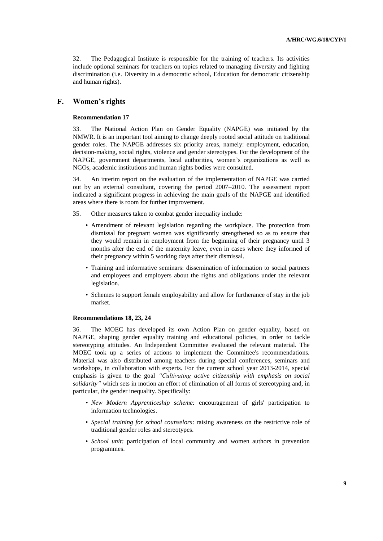32. The Pedagogical Institute is responsible for the training of teachers. Its activities include optional seminars for teachers on topics related to managing diversity and fighting discrimination (i.e. Diversity in a democratic school, Education for democratic citizenship and human rights).

### **F. Women's rights**

### **Recommendation 17**

33. The National Action Plan on Gender Equality (NAPGE) was initiated by the NMWR. It is an important tool aiming to change deeply rooted social attitude on traditional gender roles. The NAPGE addresses six priority areas, namely: employment, education, decision-making, social rights, violence and gender stereotypes. For the development of the NAPGE, government departments, local authorities, women's organizations as well as NGOs, academic institutions and human rights bodies were consulted.

34. An interim report on the evaluation of the implementation of NAPGE was carried out by an external consultant, covering the period 2007–2010. The assessment report indicated a significant progress in achieving the main goals of the NAPGE and identified areas where there is room for further improvement.

- 35. Other measures taken to combat gender inequality include:
	- Amendment of relevant legislation regarding the workplace. The protection from dismissal for pregnant women was significantly strengthened so as to ensure that they would remain in employment from the beginning of their pregnancy until 3 months after the end of the maternity leave, even in cases where they informed of their pregnancy within 5 working days after their dismissal.
	- Training and informative seminars: dissemination of information to social partners and employees and employers about the rights and obligations under the relevant legislation.
	- Schemes to support female employability and allow for furtherance of stay in the job market.

### **Recommendations 18, 23, 24**

36. The MOEC has developed its own Action Plan on gender equality, based on NAPGE, shaping gender equality training and educational policies, in order to tackle stereotyping attitudes. An Independent Committee evaluated the relevant material. The MOEC took up a series of actions to implement the Committee's recommendations. Material was also distributed among teachers during special conferences, seminars and workshops, in collaboration with experts. For the current school year 2013-2014, special emphasis is given to the goal *"Cultivating active citizenship with emphasis on social solidarity"* which sets in motion an effort of elimination of all forms of stereotyping and, in particular, the gender inequality. Specifically:

- *New Modern Apprenticeship scheme:* encouragement of girls' participation to information technologies.
- *Special training for school counselors*: raising awareness on the restrictive role of traditional gender roles and stereotypes.
- *School unit:* participation of local community and women authors in prevention programmes.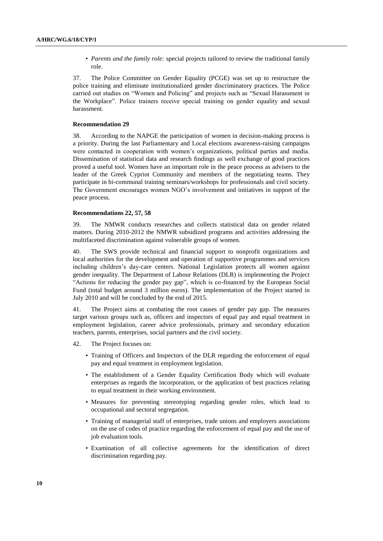• *Parents and the family role:* special projects tailored to review the traditional family role.

37. The Police Committee on Gender Equality (PCGE) was set up to restructure the police training and eliminate institutionalized gender discriminatory practices. The Police carried out studies on "Women and Policing" and projects such as "Sexual Harassment in the Workplace". Police trainers receive special training on gender equality and sexual harassment.

#### **Recommendation 29**

38. According to the NAPGE the participation of women in decision-making process is a priority. During the last Parliamentary and Local elections awareness-raising campaigns were contacted in cooperation with women's organizations, political parties and media. Dissemination of statistical data and research findings as well exchange of good practices proved a useful tool. Women have an important role in the peace process as advisers to the leader of the Greek Cypriot Community and members of the negotiating teams. They participate in bi-communal training seminars/workshops for professionals and civil society. The Government encourages women NGO's involvement and initiatives in support of the peace process.

### **Recommendations 22, 57, 58**

39. The NMWR conducts researches and collects statistical data on gender related matters. During 2010-2012 the NMWR subsidized programs and activities addressing the multifaceted discrimination against vulnerable groups of women.

40. The SWS provide technical and financial support to nonprofit organizations and local authorities for the development and operation of supportive programmes and services including children's day-care centers. National Legislation protects all women against gender inequality. The Department of Labour Relations (DLR) is implementing the Project "Actions for reducing the gender pay gap", which is co-financed by the European Social Fund (total budget around 3 million euros). The implementation of the Project started in July 2010 and will be concluded by the end of 2015.

41. The Project aims at combating the root causes of gender pay gap. The measures target various groups such as, officers and inspectors of equal pay and equal treatment in employment legislation, career advice professionals, primary and secondary education teachers, parents, enterprises, social partners and the civil society.

- 42. The Project focuses on:
	- Training of Officers and Inspectors of the DLR regarding the enforcement of equal pay and equal treatment in employment legislation.
	- The establishment of a Gender Equality Certification Body which will evaluate enterprises as regards the incorporation, or the application of best practices relating to equal treatment in their working environment.
	- Measures for preventing stereotyping regarding gender roles, which lead to occupational and sectoral segregation.
	- Training of managerial staff of enterprises, trade unions and employers associations on the use of codes of practice regarding the enforcement of equal pay and the use of job evaluation tools.
	- Examination of all collective agreements for the identification of direct discrimination regarding pay.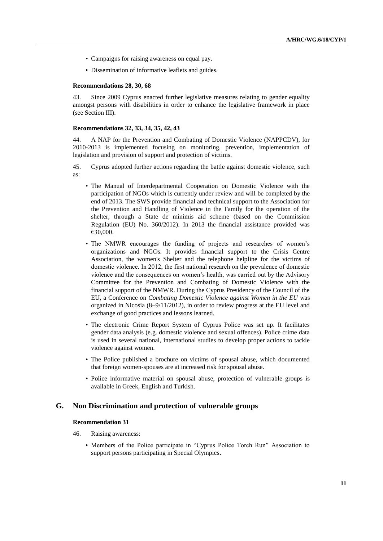- Campaigns for raising awareness on equal pay.
- Dissemination of informative leaflets and guides.

#### **Recommendations 28, 30, 68**

43. Since 2009 Cyprus enacted further legislative measures relating to gender equality amongst persons with disabilities in order to enhance the legislative framework in place (see Section III).

#### **Recommendations 32, 33, 34, 35, 42, 43**

44. A NAP for the Prevention and Combating of Domestic Violence (NAPPCDV), for 2010-2013 is implemented focusing on monitoring, prevention, implementation of legislation and provision of support and protection of victims.

45. Cyprus adopted further actions regarding the battle against domestic violence, such as:

- The Manual of Interdepartmental Cooperation on Domestic Violence with the participation of NGOs which is currently under review and will be completed by the end of 2013. The SWS provide financial and technical support to the Association for the Prevention and Handling of Violence in the Family for the operation of the shelter, through a State de minimis aid scheme (based on the Commission Regulation (EU) No. 360/2012). In 2013 the financial assistance provided was €30,000.
- The NMWR encourages the funding of projects and researches of women's organizations and NGOs. It provides financial support to the Crisis Centre Association, the women's Shelter and the telephone helpline for the victims of domestic violence. Ιn 2012, the first national research on the prevalence of domestic violence and the consequences on women's health, was carried out by the Advisory Committee for the Prevention and Combating of Domestic Violence with the financial support of the NMWR. During the Cyprus Presidency of the Council of the EU, a Conference on *Combating Domestic Violence against Women in the EU* was organized in Nicosia (8–9/11/2012), in order to review progress at the EU level and exchange of good practices and lessons learned.
- The electronic Crime Report System of Cyprus Police was set up. It facilitates gender data analysis (e.g. domestic violence and sexual offences). Police crime data is used in several national, international studies to develop proper actions to tackle violence against women.
- The Police published a brochure on victims of spousal abuse, which documented that foreign women-spouses are at increased risk for spousal abuse.
- Police informative material on spousal abuse, protection of vulnerable groups is available in Greek, English and Turkish.

### **G. Non Discrimination and protection of vulnerable groups**

#### **Recommendation 31**

- 46. Raising awareness:
	- Members of the Police participate in "Cyprus Police Torch Run" Association to support persons participating in Special Olympics**.**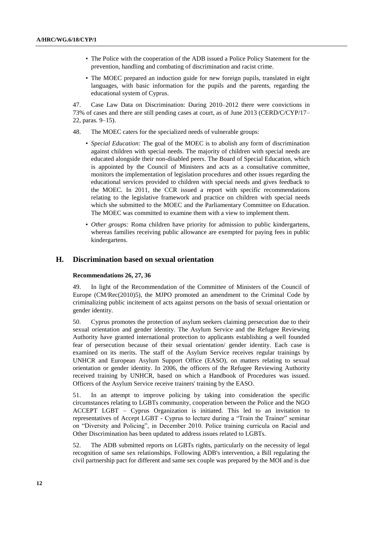- The Police with the cooperation of the ADB issued a Police Policy Statement for the prevention, handling and combating of discrimination and racist crime.
- The MOEC prepared an induction guide for new foreign pupils, translated in eight languages, with basic information for the pupils and the parents, regarding the educational system of Cyprus.

47. Case Law Data on Discrimination: During 2010–2012 there were convictions in 73% of cases and there are still pending cases at court, as of June 2013 (CERD/C/CYP/17– 22, paras. 9–15).

- 48. The MOEC caters for the specialized needs of vulnerable groups:
	- *Special Education:* The goal of the MOEC is to abolish any form of discrimination against children with special needs. The majority of children with special needs are educated alongside their non-disabled peers. The Board of Special Education, which is appointed by the Council of Ministers and acts as a consultative committee, monitors the implementation of legislation procedures and other issues regarding the educational services provided to children with special needs and gives feedback to the MOEC. In 2011, the CCR issued a report with specific recommendations relating to the legislative framework and practice on children with special needs which she submitted to the MOEC and the Parliamentary Committee on Education. The MOEC was committed to examine them with a view to implement them.
	- *Other groups:* Roma children have priority for admission to public kindergartens, whereas families receiving public allowance are exempted for paying fees in public kindergartens.

### **H. Discrimination based on sexual orientation**

#### **Recommendations 26, 27, 36**

In light of the Recommendation of the Committee of Ministers of the Council of Europe (CM/Rec(2010)5), the MJPO promoted an amendment to the Criminal Code by criminalizing public incitement of acts against persons on the basis of sexual orientation or gender identity.

50. Cyprus promotes the protection of asylum seekers claiming persecution due to their sexual orientation and gender identity. The Asylum Service and the Refugee Reviewing Authority have granted international protection to applicants establishing a well founded fear of persecution because of their sexual orientation/ gender identity. Each case is examined on its merits. The staff of the Asylum Service receives regular trainings by UNHCR and European Asylum Support Office (EASO), on matters relating to sexual orientation or gender identity. In 2006, the officers of the Refugee Reviewing Authority received training by UNHCR, based on which a Handbook of Procedures was issued. Officers of the Asylum Service receive trainers' training by the EASO.

51. In an attempt to improve policing by taking into consideration the specific circumstances relating to LGBTs community, cooperation between the Police and the NGO ACCEPT LGBT – Cyprus Organization is initiated. This led to an invitation to representatives of Accept LGBT - Cyprus to lecture during a "Train the Trainer" seminar on "Diversity and Policing", in December 2010. Police training curricula on Racial and Other Discrimination has been updated to address issues related to LGBTs.

52. The ADB submitted reports on LGBTs rights, particularly on the necessity of legal recognition of same sex relationships. Following ADB's intervention, a Bill regulating the civil partnership pact for different and same sex couple was prepared by the MOI and is due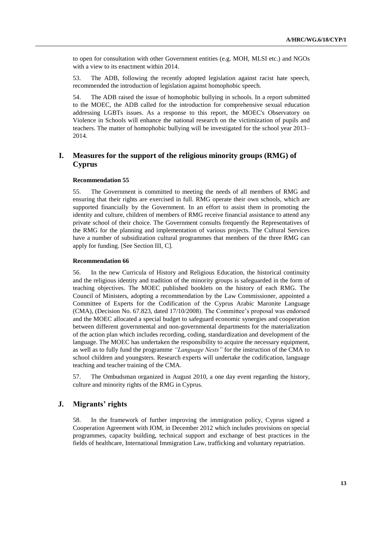to open for consultation with other Government entities (e.g. MOH, MLSI etc.) and NGOs with a view to its enactment within 2014.

53. The ADB, following the recently adopted legislation against racist hate speech, recommended the introduction of legislation against homophobic speech.

54. The ADB raised the issue of homophobic bullying in schools. In a report submitted to the MOEC, the ADB called for the introduction for comprehensive sexual education addressing LGBTs issues. As a response to this report, the MOEC's Observatory on Violence in Schools will enhance the national research on the victimization of pupils and teachers. The matter of homophobic bullying will be investigated for the school year 2013– 2014.

## **I. Measures for the support of the religious minority groups (RMG) of Cyprus**

#### **Recommendation 55**

55. The Government is committed to meeting the needs of all members of RMG and ensuring that their rights are exercised in full. RMG operate their own schools, which are supported financially by the Government. In an effort to assist them in promoting the identity and culture, children of members of RMG receive financial assistance to attend any private school of their choice. The Government consults frequently the Representatives of the RMG for the planning and implementation of various projects. The Cultural Services have a number of subsidization cultural programmes that members of the three RMG can apply for funding. [See Section III, C].

#### **Recommendation 66**

56. In the new Curricula of History and Religious Education, the historical continuity and the religious identity and tradition of the minority groups is safeguarded in the form of teaching objectives. The MOEC published booklets on the history of each RMG. The Council of Ministers, adopting a recommendation by the Law Commissioner, appointed a Committee of Experts for the Codification of the Cyprus Arabic Maronite Language (CMA), (Decision No. 67.823, dated 17/10/2008). The Committee's proposal was endorsed and the MOEC allocated a special budget to safeguard economic synergies and cooperation between different governmental and non-governmental departments for the materialization of the action plan which includes recording, coding, standardization and development of the language. The MOEC has undertaken the responsibility to acquire the necessary equipment, as well as to fully fund the programme *"Language Nests"* for the instruction of the CMA to school children and youngsters. Research experts will undertake the codification, language teaching and teacher training of the CMA.

57. The Ombudsman organized in August 2010, a one day event regarding the history, culture and minority rights of the RMG in Cyprus.

### **J. Migrants' rights**

58. In the framework of further improving the immigration policy, Cyprus signed a Cooperation Agreement with IOM, in December 2012 which includes provisions on special programmes, capacity building, technical support and exchange of best practices in the fields of healthcare, International Immigration Law, trafficking and voluntary repatriation.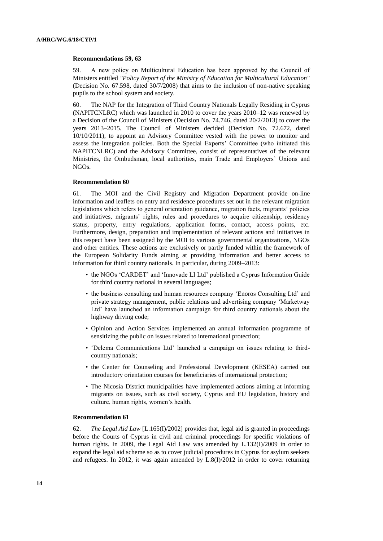#### **Recommendations 59, 63**

59. Α new policy on Multicultural Education has been approved by the Council of Ministers entitled *"Policy Report of the Ministry of Education for Multicultural Education"* (Decision No. 67.598, dated 30/7/2008) that aims to the inclusion of non-native speaking pupils to the school system and society.

60. The NAP for the Integration of Third Country Nationals Legally Residing in Cyprus (NAPITCNLRC) which was launched in 2010 to cover the years 2010–12 was renewed by a Decision of the Council of Ministers (Decision No. 74.746, dated 20/2/2013) to cover the years 2013–2015. The Council of Ministers decided (Decision No. 72.672, dated 10/10/2011), to appoint an Advisory Committee vested with the power to monitor and assess the integration policies. Both the Special Experts' Committee (who initiated this NAPITCNLRC) and the Advisory Committee, consist of representatives of the relevant Ministries, the Ombudsman, local authorities, main Trade and Employers' Unions and NGOs.

#### **Recommendation 60**

61. The MOI and the Civil Registry and Migration Department provide on-line information and leaflets on entry and residence procedures set out in the relevant migration legislations which refers to general orientation guidance, migration facts, migrants' policies and initiatives, migrants' rights, rules and procedures to acquire citizenship, residency status, property, entry regulations, application forms, contact, access points, etc. Furthermore, design, preparation and implementation of relevant actions and initiatives in this respect have been assigned by the MOI to various governmental organizations, NGOs and other entities. These actions are exclusively or partly funded within the framework of the European Solidarity Funds aiming at providing information and better access to information for third country nationals. In particular, during 2009–2013:

- the NGOs 'CARDET' and 'Innovade LI Ltd' published a Cyprus Information Guide for third country national in several languages;
- the business consulting and human resources company 'Enoros Consulting Ltd' and private strategy management, public relations and advertising company 'Marketway Ltd' have launched an information campaign for third country nationals about the highway driving code;
- Opinion and Action Services implemented an annual information programme of sensitizing the public on issues related to international protection;
- 'Delema Communications Ltd' launched a campaign on issues relating to thirdcountry nationals;
- the Center for Counseling and Professional Development (KESEA) carried out introductory orientation courses for beneficiaries of international protection;
- The Nicosia District municipalities have implemented actions aiming at informing migrants on issues, such as civil society, Cyprus and EU legislation, history and culture, human rights, women's health.

#### **Recommendation 61**

62. *The Legal Aid Law* [L.165(I)/2002] provides that, legal aid is granted in proceedings before the Courts of Cyprus in civil and criminal proceedings for specific violations of human rights. In 2009, the Legal Aid Law was amended by L.132(I)/2009 in order to expand the legal aid scheme so as to cover judicial procedures in Cyprus for asylum seekers and refugees. In 2012, it was again amended by L.8(I)/2012 in order to cover returning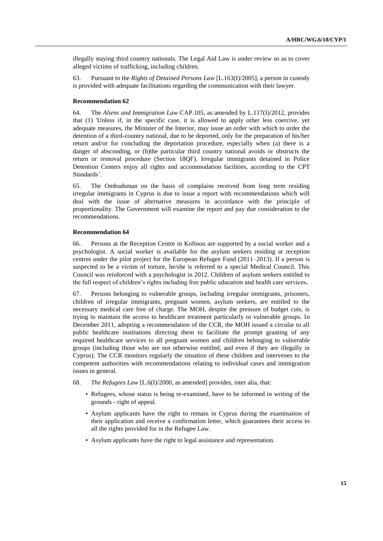illegally staying third country nationals. The Legal Aid Law is under review so as to cover alleged victims of trafficking, including children.

63. Pursuant to the *Rights of Detained Persons Law* [L.163(I)/2005], a person in custody is provided with adequate facilitations regarding the communication with their lawyer.

#### **Recommendation 62**

64. The *Aliens and Immigration Law* CAP.105, as amended by L.117(I)/2012, provides that (1) 'Unless if, in the specific case, it is allowed to apply other less coercive, yet adequate measures, the Minister of the Interior, may issue an order with which to order the detention of a third-country national, due to be deported, only for the preparation of his/her return and/or for concluding the deportation procedure, especially when (a) there is a danger of absconding, or (b)the particular third country national avoids or obstructs the return or removal procedure (Section 18QF). Irregular immigrants detained in Police Detention Centers enjoy all rights and accommodation facilities, according to the CPT Standards'.

65. The Ombudsman on the basis of complains received from long term residing irregular immigrants in Cyprus is due to issue a report with recommendations which will deal with the issue of alternative measures in accordance with the principle of proportionality. The Government will examine the report and pay due consideration to the recommendations.

#### **Recommendation 64**

66. Persons at the Reception Centre in Kofinou are supported by a social worker and a psychologist. A social worker is available for the asylum seekers residing at reception centres under the pilot project for the European Refugee Fund (2011–2013). If a person is suspected to be a victim of torture, he/she is referred to a special Medical Council. This Council was reinforced with a psychologist in 2012. Children of asylum seekers entitled to the full respect of children's rights including free public education and health care services**.**

67. Persons belonging to vulnerable groups, including irregular immigrants, prisoners, children of irregular immigrants, pregnant women, asylum seekers, are entitled to the necessary medical care free of charge. The MOH, despite the pressure of budget cuts, is trying to maintain the access to healthcare treatment particularly to vulnerable groups. In December 2011, adopting a recommendation of the CCR, the MOH issued a circular to all public healthcare institutions directing them to facilitate the prompt granting of any required healthcare services to all pregnant women and children belonging to vulnerable groups (including those who are not otherwise entitled, and even if they are illegally in Cyprus). The CCR monitors regularly the situation of these children and intervenes to the competent authorities with recommendations relating to individual cases and immigration issues in general.

- 68. *The Refugees Law* [L.6(I)/2000, as amended] provides, inter alia, that:
	- Refugees, whose status is being re-examined, have to be informed in writing of the grounds - right of appeal.
	- Asylum applicants have the right to remain in Cyprus during the examination of their application and receive a confirmation letter, which guarantees their access to all the rights provided for in the Refugee Law.
	- Asylum applicants have the right to legal assistance and representation.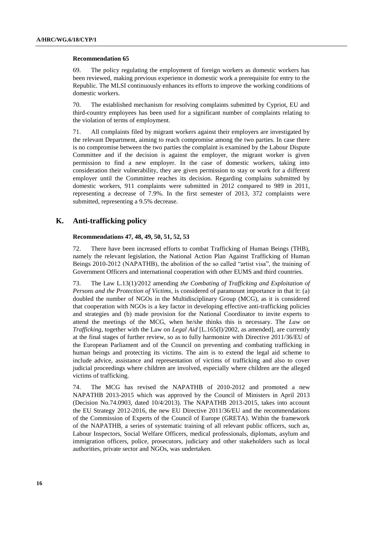#### **Recommendation 65**

69. The policy regulating the employment of foreign workers as domestic workers has been reviewed, making previous experience in domestic work a prerequisite for entry to the Republic. The MLSI continuously enhances its efforts to improve the working conditions of domestic workers.

70. The established mechanism for resolving complaints submitted by Cypriot, EU and third-country employees has been used for a significant number of complaints relating to the violation of terms of employment.

71. All complaints filed by migrant workers against their employers are investigated by the relevant Department, aiming to reach compromise among the two parties. In case there is no compromise between the two parties the complaint is examined by the Labour Dispute Committee and if the decision is against the employer, the migrant worker is given permission to find a new employer. In the case of domestic workers, taking into consideration their vulnerability, they are given permission to stay or work for a different employer until the Committee reaches its decision. Regarding complains submitted by domestic workers, 911 complaints were submitted in 2012 compared to 989 in 2011, representing a decrease of 7.9%. In the first semester of 2013, 372 complaints were submitted, representing a 9.5% decrease.

### **K. Anti-trafficking policy**

### **Recommendations 47, 48, 49, 50, 51, 52, 53**

72. There have been increased efforts to combat Trafficking of Human Beings (THB), namely the relevant legislation, the National Action Plan Against Trafficking of Human Beings 2010-2012 (NAPATHB), the abolition of the so called "artist visa", the training of Government Officers and international cooperation with other EUMS and third countries.

73. The Law L.13(1)/2012 amending *the Combating of Trafficking and Exploitation of Persons and the Protection of Victims*, is considered of paramount importance in that it: (a) doubled the number of NGOs in the Multidisciplinary Group (MCG), as it is considered that cooperation with NGOs is a key factor in developing effective anti-trafficking policies and strategies and (b) made provision for the National Coordinator to invite experts to attend the meetings of the MCG, when he/she thinks this is necessary. The *Law on Trafficking*, together with the Law on *Legal Aid* [L.165(I)/2002, as amended], are currently at the final stages of further review, so as to fully harmonize with Directive 2011/36/EU of the European Parliament and of the Council on preventing and combating trafficking in human beings and protecting its victims. The aim is to extend the legal aid scheme to include advice, assistance and representation of victims of trafficking and also to cover judicial proceedings where children are involved, especially where children are the alleged victims of trafficking.

74. The MCG has revised the NAPATHB of 2010-2012 and promoted a new NAPATHB 2013-2015 which was approved by the Council of Ministers in April 2013 (Decision No.74.0903, dated 10/4/2013). The NAPATHB 2013-2015, takes into account the EU Strategy 2012-2016, the new EU Directive 2011/36/EU and the recommendations of the Commission of Experts of the Council of Europe (GRETA). Within the framework of the NAPATHB, a series of systematic training of all relevant public officers, such as, Labour Inspectors, Social Welfare Officers, medical professionals, diplomats, asylum and immigration officers, police, prosecutors, judiciary and other stakeholders such as local authorities, private sector and NGOs, was undertaken.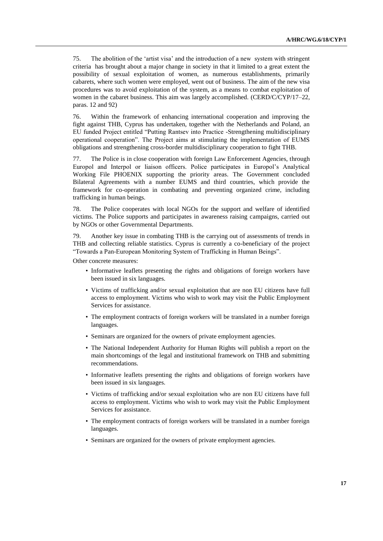75. The abolition of the 'artist visa' and the introduction of a new system with stringent criteria has brought about a major change in society in that it limited to a great extent the possibility of sexual exploitation of women, as numerous establishments, primarily cabarets, where such women were employed, went out of business. The aim of the new visa procedures was to avoid exploitation of the system, as a means to combat exploitation of women in the cabaret business. This aim was largely accomplished. (CERD/C/CYP/17–22, paras. 12 and 92)

76. Within the framework of enhancing international cooperation and improving the fight against THB, Cyprus has undertaken, together with the Netherlands and Poland, an EU funded Project entitled "Putting Rantsev into Practice -Strengthening multidisciplinary operational cooperation". The Project aims at stimulating the implementation of EUMS obligations and strengthening cross-border multidisciplinary cooperation to fight THB.

77. The Police is in close cooperation with foreign Law Enforcement Agencies, through Europol and Interpol or liaison officers. Police participates in Europol's Analytical Working File PHOENIX supporting the priority areas. The Government concluded Bilateral Agreements with a number EUMS and third countries, which provide the framework for co-operation in combating and preventing organized crime, including trafficking in human beings.

78. The Police cooperates with local NGOs for the support and welfare of identified victims. The Police supports and participates in awareness raising campaigns, carried out by NGOs or other Governmental Departments.

79. Another key issue in combating THB is the carrying out of assessments of trends in THB and collecting reliable statistics. Cyprus is currently a co-beneficiary of the project "Towards a Pan-European Monitoring System of Trafficking in Human Beings".

Other concrete measures:

- Informative leaflets presenting the rights and obligations of foreign workers have been issued in six languages.
- Victims of trafficking and/or sexual exploitation that are non EU citizens have full access to employment. Victims who wish to work may visit the Public Employment Services for assistance.
- The employment contracts of foreign workers will be translated in a number foreign languages.
- Seminars are organized for the owners of private employment agencies.
- The National Independent Authority for Human Rights will publish a report on the main shortcomings of the legal and institutional framework on THB and submitting recommendations.
- Informative leaflets presenting the rights and obligations of foreign workers have been issued in six languages.
- Victims of trafficking and/or sexual exploitation who are non EU citizens have full access to employment. Victims who wish to work may visit the Public Employment Services for assistance.
- The employment contracts of foreign workers will be translated in a number foreign languages.
- Seminars are organized for the owners of private employment agencies.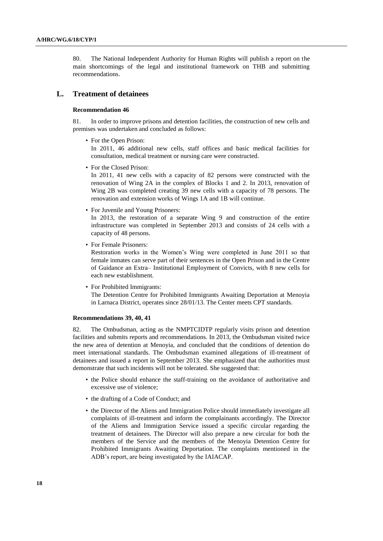80. The National Independent Authority for Human Rights will publish a report on the main shortcomings of the legal and institutional framework on THB and submitting recommendations.

### **L. Treatment of detainees**

### **Recommendation 46**

81. In order to improve prisons and detention facilities, the construction of new cells and premises was undertaken and concluded as follows:

• For the Open Prison:

In 2011, 46 additional new cells, staff offices and basic medical facilities for consultation, medical treatment or nursing care were constructed.

• For the Closed Prison:

In 2011, 41 new cells with a capacity of 82 persons were constructed with the renovation of Wing 2A in the complex of Blocks 1 and 2. In 2013, renovation of Wing 2B was completed creating 39 new cells with a capacity of 78 persons. The renovation and extension works of Wings 1A and 1B will continue.

• For Juvenile and Young Prisoners:

In 2013, the restoration of a separate Wing 9 and construction of the entire infrastructure was completed in September 2013 and consists of 24 cells with a capacity of 48 persons.

• For Female Prisoners:

Restoration works in the Women's Wing were completed in June 2011 so that female inmates can serve part of their sentences in the Open Prison and in the Centre of Guidance an Extra– Institutional Employment of Convicts, with 8 new cells for each new establishment.

• For Prohibited Immigrants:

The Detention Centre for Prohibited Immigrants Awaiting Deportation at Menoyia in Larnaca District, operates since 28/01/13. The Center meets CPT standards.

#### **Recommendations 39, 40, 41**

82. The Ombudsman, acting as the NMPTCIDTP regularly visits prison and detention facilities and submits reports and recommendations. In 2013, the Ombudsman visited twice the new area of detention at Menoyia, and concluded that the conditions of detention do meet international standards. The Ombudsman examined allegations of ill-treatment of detainees and issued a report in September 2013. She emphasized that the authorities must demonstrate that such incidents will not be tolerated. She suggested that:

- the Police should enhance the staff-training on the avoidance of authoritative and excessive use of violence;
- the drafting of a Code of Conduct; and
- the Director of the Aliens and Immigration Police should immediately investigate all complaints of ill-treatment and inform the complainants accordingly. The Director of the Aliens and Immigration Service issued a specific circular regarding the treatment of detainees. The Director will also prepare a new circular for both the members of the Service and the members of the Menoyia Detention Centre for Prohibited Immigrants Awaiting Deportation. The complaints mentioned in the ADB's report, are being investigated by the IAIACAP.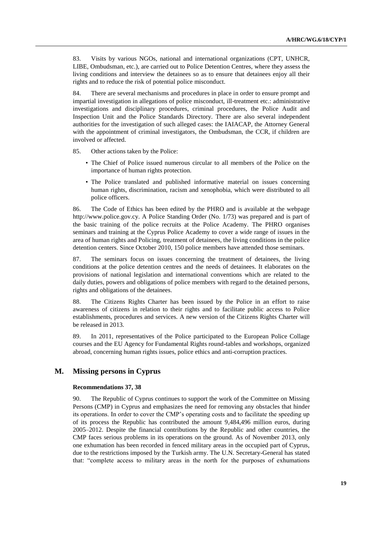83. Visits by various NGOs, national and international organizations (CPT, UNHCR, LIBE, Ombudsman, etc.), are carried out to Police Detention Centres, where they assess the living conditions and interview the detainees so as to ensure that detainees enjoy all their rights and to reduce the risk of potential police misconduct.

84. There are several mechanisms and procedures in place in order to ensure prompt and impartial investigation in allegations of police misconduct, ill-treatment etc.: administrative investigations and disciplinary procedures, criminal procedures, the Police Audit and Inspection Unit and the Police Standards Directory. There are also several independent authorities for the investigation of such alleged cases: the IAIACAP, the Attorney General with the appointment of criminal investigators, the Ombudsman, the CCR, if children are involved or affected.

85. Other actions taken by the Police:

- The Chief of Police issued numerous circular to all members of the Police on the importance of human rights protection.
- The Police translated and published informative material on issues concerning human rights, discrimination, racism and xenophobia, which were distributed to all police officers.

86. The Code of Ethics has been edited by the PHRO and is available at the webpage [http://www.police.gov.cy.](http://www.police.gov.cy/) A Police Standing Order (No. 1/73) was prepared and is part of the basic training of the police recruits at the Police Academy. The PHRO organises seminars and training at the Cyprus Police Academy to cover a wide range of issues in the area of human rights and Policing, treatment of detainees, the living conditions in the police detention centers. Since October 2010, 150 police members have attended those seminars.

87. The seminars focus on issues concerning the treatment of detainees, the living conditions at the police detention centres and the needs of detainees. It elaborates on the provisions of national legislation and international conventions which are related to the daily duties, powers and obligations of police members with regard to the detained persons, rights and obligations of the detainees.

88. The Citizens Rights Charter has been issued by the Police in an effort to raise awareness of citizens in relation to their rights and to facilitate public access to Police establishments, procedures and services. A new version of the Citizens Rights Charter will be released in 2013.

89. In 2011, representatives of the Police participated to the European Police Collage courses and the EU Agency for Fundamental Rights round-tables and workshops, organized abroad, concerning human rights issues, police ethics and anti-corruption practices.

### **M. Missing persons in Cyprus**

### **Recommendations 37, 38**

90. The Republic of Cyprus continues to support the work of the Committee on Missing Persons (CMP) in Cyprus and emphasizes the need for removing any obstacles that hinder its operations. In order to cover the CMP's operating costs and to facilitate the speeding up of its process the Republic has contributed the amount 9,484,496 million euros, during 2005–2012. Despite the financial contributions by the Republic and other countries, the CMP faces serious problems in its operations on the ground. As of November 2013, only one exhumation has been recorded in fenced military areas in the occupied part of Cyprus, due to the restrictions imposed by the Turkish army. The U.N. Secretary-General has stated that: "complete access to military areas in the north for the purposes of exhumations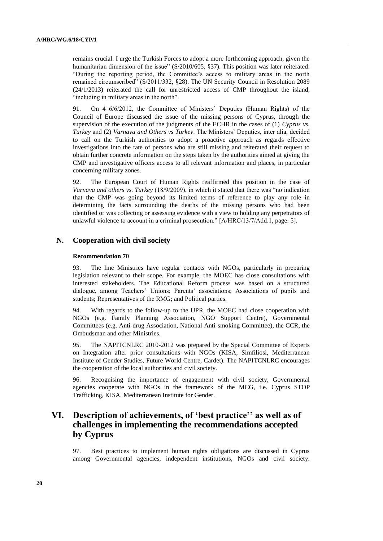remains crucial. I urge the Turkish Forces to adopt a more forthcoming approach, given the humanitarian dimension of the issue" (S/2010/605, §37). This position was later reiterated: "During the reporting period, the Committee's access to military areas in the north remained circumscribed" (S/2011/332, §28). The UN Security Council in Resolution 2089 (24/1/2013) reiterated the call for unrestricted access of CMP throughout the island, "including in military areas in the north".

91. On 4–6/6/2012, the Committee of Ministers' Deputies (Human Rights) of the Council of Europe discussed the issue of the missing persons of Cyprus, through the supervision of the execution of the judgments of the ECHR in the cases of (1) *Cyprus vs. Turkey* and (2) *Varnava and Others vs Turkey*. The Ministers' Deputies, inter alia, decided to call on the Turkish authorities to adopt a proactive approach as regards effective investigations into the fate of persons who are still missing and reiterated their request to obtain further concrete information on the steps taken by the authorities aimed at giving the CMP and investigative officers access to all relevant information and places, in particular concerning military zones.

92. The European Court of Human Rights reaffirmed this position in the case of *Varnava and others vs. Turkey* (18/9/2009), in which it stated that there was "no indication that the CMP was going beyond its limited terms of reference to play any role in determining the facts surrounding the deaths of the missing persons who had been identified or was collecting or assessing evidence with a view to holding any perpetrators of unlawful violence to account in a criminal prosecution." [Α/HRC/13/7/Add.1, page. 5].

### **N. Cooperation with civil society**

### **Recommendation 70**

93. The line Ministries have regular contacts with NGOs, particularly in preparing legislation relevant to their scope. For example, the MOEC has close consultations with interested stakeholders. The Educational Reform process was based on a structured dialogue, among Teachers' Unions; Parents' associations; Associations of pupils and students; Representatives of the RMG; and Political parties.

94. With regards to the follow-up to the UPR, the MOEC had close cooperation with NGOs (e.g. Family Planning Association, NGO Support Centre), Governmental Committees (e.g. Anti-drug Association, National Anti-smoking Committee), the CCR, the Ombudsman and other Ministries.

95. The NAPITCNLRC 2010-2012 was prepared by the Special Committee of Experts on Integration after prior consultations with NGOs (KISA, Simfiliosi, Mediterranean Institute of Gender Studies, Future World Centre, Cardet). The NAPITCNLRC encourages the cooperation of the local authorities and civil society.

96. Recognising the importance of engagement with civil society, Governmental agencies cooperate with NGOs in the framework of the MCG, i.e. Cyprus STOP Trafficking, KISA, Mediterranean Institute for Gender.

## **VI. Description of achievements, of 'best practice'' as well as of challenges in implementing the recommendations accepted by Cyprus**

97. Best practices to implement human rights obligations are discussed in Cyprus among Governmental agencies, independent institutions, NGOs and civil society.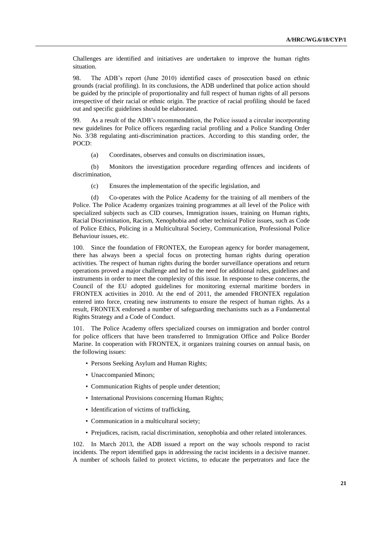Challenges are identified and initiatives are undertaken to improve the human rights situation.

98. The ADB's report (June 2010) identified cases of prosecution based on ethnic grounds (racial profiling). In its conclusions, the ADB underlined that police action should be guided by the principle of proportionality and full respect of human rights of all persons irrespective of their racial or ethnic origin. The practice of racial profiling should be faced out and specific guidelines should be elaborated.

99. As a result of the ADB's recommendation, the Police issued a circular incorporating new guidelines for Police officers regarding racial profiling and a Police Standing Order No. 3/38 regulating anti-discrimination practices. According to this standing order, the POCD:

(a) Coordinates, observes and consults on discrimination issues,

(b) Monitors the investigation procedure regarding offences and incidents of discrimination,

(c) Ensures the implementation of the specific legislation, and

(d) Co-operates with the Police Academy for the training of all members of the Police. The Police Academy organizes training programmes at all level of the Police with specialized subjects such as CID courses, Immigration issues, training on Human rights, Racial Discrimination, Racism, Xenophobia and other technical Police issues, such as Code of Police Ethics, Policing in a Multicultural Society, Communication, Professional Police Behaviour issues, etc.

100. Since the foundation of FRONTEX, the European agency for border management, there has always been a special focus on protecting human rights during operation activities. The respect of human rights during the border surveillance operations and return operations proved a major challenge and led to the need for additional rules, guidelines and instruments in order to meet the complexity of this issue. In response to these concerns, the Council of the EU adopted guidelines for monitoring external maritime borders in FRONTEX activities in 2010. At the end of 2011, the amended FRONTEX regulation entered into force, creating new instruments to ensure the respect of human rights. As a result, FRONTEX endorsed a number of safeguarding mechanisms such as a Fundamental Rights Strategy and a Code of Conduct.

101. The Police Academy offers specialized courses on immigration and border control for police officers that have been transferred to Immigration Office and Police Border Marine. In cooperation with FRONTEX, it organizes training courses on annual basis, on the following issues:

- Persons Seeking Asylum and Human Rights;
- Unaccompanied Minors;
- Communication Rights of people under detention;
- International Provisions concerning Human Rights;
- Identification of victims of trafficking,
- Communication in a multicultural society;
- Prejudices, racism, racial discrimination, xenophobia and other related intolerances.

102. In March 2013, the ADB issued a report on the way schools respond to racist incidents. The report identified gaps in addressing the racist incidents in a decisive manner. A number of schools failed to protect victims, to educate the perpetrators and face the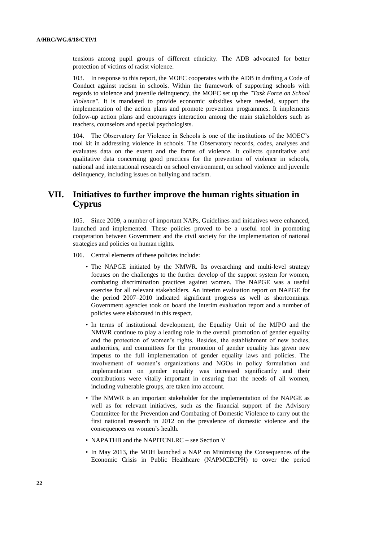tensions among pupil groups of different ethnicity. The ADB advocated for better protection of victims of racist violence.

103. In response to this report, the MOEC cooperates with the ADB in drafting a Code of Conduct against racism in schools. Within the framework of supporting schools with regards to violence and juvenile delinquency, the MOEC set up the *"Task Force on School Violence"*. It is mandated to provide economic subsidies where needed, support the implementation of the action plans and promote prevention programmes. It implements follow-up action plans and encourages interaction among the main stakeholders such as teachers, counselors and special psychologists.

104. The Observatory for Violence in Schools is one of the institutions of the MOEC's tool kit in addressing violence in schools. The Observatory records, codes, analyses and evaluates data on the extent and the forms of violence. It collects quantitative and qualitative data concerning good practices for the prevention of violence in schools, national and international research on school environment, on school violence and juvenile delinquency, including issues on bullying and racism.

## **VII. Initiatives to further improve the human rights situation in Cyprus**

105. Since 2009, a number of important NAPs, Guidelines and initiatives were enhanced, launched and implemented. These policies proved to be a useful tool in promoting cooperation between Government and the civil society for the implementation of national strategies and policies on human rights.

- 106. Central elements of these policies include:
	- The NAPGE initiated by the NMWR. Its overarching and multi-level strategy focuses on the challenges to the further develop of the support system for women, combating discrimination practices against women. The NAPGE was a useful exercise for all relevant stakeholders. An interim evaluation report on NAPGE for the period 2007–2010 indicated significant progress as well as shortcomings. Government agencies took on board the interim evaluation report and a number of policies were elaborated in this respect.
	- In terms of institutional development, the Equality Unit of the MJPO and the NMWR continue to play a leading role in the overall promotion of gender equality and the protection of women's rights. Besides, the establishment of new bodies, authorities, and committees for the promotion of gender equality has given new impetus to the full implementation of gender equality laws and policies. The involvement of women's organizations and NGOs in policy formulation and implementation on gender equality was increased significantly and their contributions were vitally important in ensuring that the needs of all women, including vulnerable groups, are taken into account.
	- The NMWR is an important stakeholder for the implementation of the NAPGE as well as for relevant initiatives, such as the financial support of the Advisory Committee for the Prevention and Combating of Domestic Violence to carry out the first national research in 2012 on the prevalence of domestic violence and the consequences on women's health.
	- NAPATHB and the NAPITCNLRC see Section V
	- In May 2013, the MOH launched a NAP on Minimising the Consequences of the Economic Crisis in Public Healthcare (NAPMCECPH) to cover the period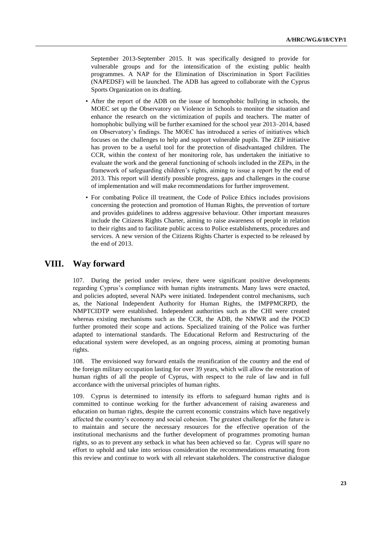September 2013-September 2015. It was specifically designed to provide for vulnerable groups and for the intensification of the existing public health programmes. A NAP for the Elimination of Discrimination in Sport Facilities (NAPEDSF) will be launched. The ADB has agreed to collaborate with the Cyprus Sports Organization on its drafting.

- After the report of the ADB on the issue of homophobic bullying in schools, the MOEC set up the Observatory on Violence in Schools to monitor the situation and enhance the research on the victimization of pupils and teachers. The matter of homophobic bullying will be further examined for the school year 2013–2014, based on Observatory's findings. The MOEC has introduced a series of initiatives which focuses on the challenges to help and support vulnerable pupils. The ZEP initiative has proven to be a useful tool for the protection of disadvantaged children. The CCR, within the context of her monitoring role, has undertaken the initiative to evaluate the work and the general functioning of schools included in the ZEPs, in the framework of safeguarding children's rights, aiming to issue a report by the end of 2013. This report will identify possible progress, gaps and challenges in the course of implementation and will make recommendations for further improvement.
- For combating Police ill treatment, the Code of Police Ethics includes provisions concerning the protection and promotion of Human Rights, the prevention of torture and provides guidelines to address aggressive behaviour. Other important measures include the Citizens Rights Charter, aiming to raise awareness of people in relation to their rights and to facilitate public access to Police establishments, procedures and services. A new version of the Citizens Rights Charter is expected to be released by the end of 2013.

## **VIII. Way forward**

107. During the period under review, there were significant positive developments regarding Cyprus's compliance with human rights instruments. Many laws were enacted, and policies adopted, several NAPs were initiated. Independent control mechanisms, such as, the National Independent Authority for Human Rights, the IMPPMCRPD, the NMPTCIDTP were established. Independent authorities such as the CHI were created whereas existing mechanisms such as the CCR, the ADB, the NMWR and the POCD further promoted their scope and actions. Specialized training of the Police was further adapted to international standards. The Educational Reform and Restructuring of the educational system were developed, as an ongoing process, aiming at promoting human rights.

108. The envisioned way forward entails the reunification of the country and the end of the foreign military occupation lasting for over 39 years, which will allow the restoration of human rights of all the people of Cyprus, with respect to the rule of law and in full accordance with the universal principles of human rights.

109. Cyprus is determined to intensify its efforts to safeguard human rights and is committed to continue working for the further advancement of raising awareness and education on human rights, despite the current economic constrains which have negatively affected the country's economy and social cohesion. The greatest challenge for the future is to maintain and secure the necessary resources for the effective operation of the institutional mechanisms and the further development of programmes promoting human rights, so as to prevent any setback in what has been achieved so far. Cyprus will spare no effort to uphold and take into serious consideration the recommendations emanating from this review and continue to work with all relevant stakeholders. The constructive dialogue